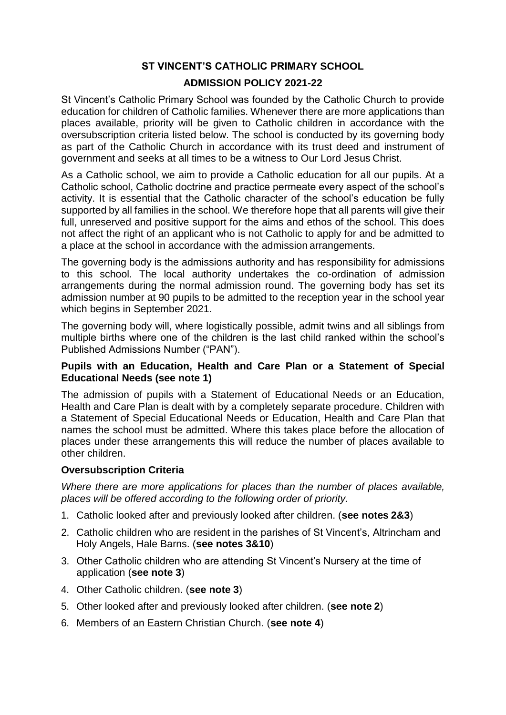# **ST VINCENT'S CATHOLIC PRIMARY SCHOOL**

### **ADMISSION POLICY 2021-22**

St Vincent's Catholic Primary School was founded by the Catholic Church to provide education for children of Catholic families. Whenever there are more applications than places available, priority will be given to Catholic children in accordance with the oversubscription criteria listed below. The school is conducted by its governing body as part of the Catholic Church in accordance with its trust deed and instrument of government and seeks at all times to be a witness to Our Lord Jesus Christ.

As a Catholic school, we aim to provide a Catholic education for all our pupils. At a Catholic school, Catholic doctrine and practice permeate every aspect of the school's activity. It is essential that the Catholic character of the school's education be fully supported by all families in the school. We therefore hope that all parents will give their full, unreserved and positive support for the aims and ethos of the school. This does not affect the right of an applicant who is not Catholic to apply for and be admitted to a place at the school in accordance with the admission arrangements.

The governing body is the admissions authority and has responsibility for admissions to this school. The local authority undertakes the co-ordination of admission arrangements during the normal admission round. The governing body has set its admission number at 90 pupils to be admitted to the reception year in the school year which begins in September 2021.

The governing body will, where logistically possible, admit twins and all siblings from multiple births where one of the children is the last child ranked within the school's Published Admissions Number ("PAN").

### **Pupils with an Education, Health and Care Plan or a Statement of Special Educational Needs (see note 1)**

The admission of pupils with a Statement of Educational Needs or an Education, Health and Care Plan is dealt with by a completely separate procedure. Children with a Statement of Special Educational Needs or Education, Health and Care Plan that names the school must be admitted. Where this takes place before the allocation of places under these arrangements this will reduce the number of places available to other children.

### **Oversubscription Criteria**

*Where there are more applications for places than the number of places available, places will be offered according to the following order of priority.*

- 1. Catholic looked after and previously looked after children. (**see notes 2&3**)
- 2. Catholic children who are resident in the parishes of St Vincent's, Altrincham and Holy Angels, Hale Barns. (**see notes 3&10**)
- 3. Other Catholic children who are attending St Vincent's Nursery at the time of application (**see note 3**)
- 4. Other Catholic children. (**see note 3**)
- 5. Other looked after and previously looked after children. (**see note 2**)
- 6. Members of an Eastern Christian Church. (**see note 4**)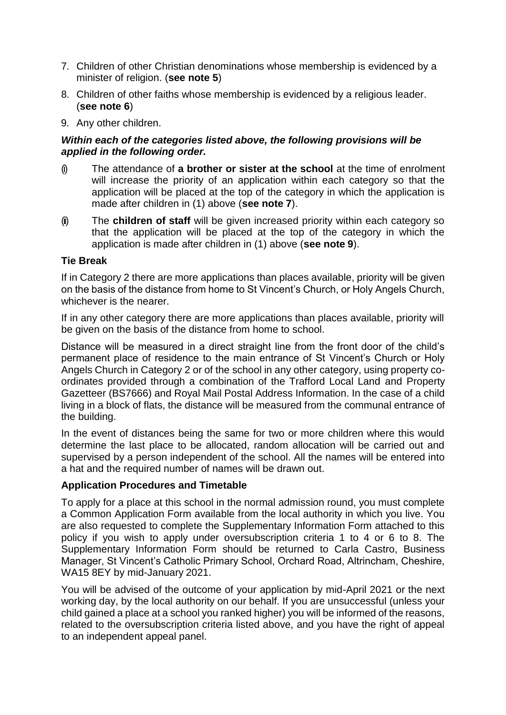- 7. Children of other Christian denominations whose membership is evidenced by a minister of religion. (**see note 5**)
- 8. Children of other faiths whose membership is evidenced by a religious leader. (**see note 6**)
- 9. Any other children.

### *Within each of the categories listed above, the following provisions will be applied in the following order.*

- (i) The attendance of **a brother or sister at the school** at the time of enrolment will increase the priority of an application within each category so that the application will be placed at the top of the category in which the application is made after children in (1) above (**see note 7**).
- (ii) The **children of staff** will be given increased priority within each category so that the application will be placed at the top of the category in which the application is made after children in (1) above (**see note 9**).

### **Tie Break**

If in Category 2 there are more applications than places available, priority will be given on the basis of the distance from home to St Vincent's Church, or Holy Angels Church, whichever is the nearer.

If in any other category there are more applications than places available, priority will be given on the basis of the distance from home to school.

Distance will be measured in a direct straight line from the front door of the child's permanent place of residence to the main entrance of St Vincent's Church or Holy Angels Church in Category 2 or of the school in any other category, using property coordinates provided through a combination of the Trafford Local Land and Property Gazetteer (BS7666) and Royal Mail Postal Address Information. In the case of a child living in a block of flats, the distance will be measured from the communal entrance of the building.

In the event of distances being the same for two or more children where this would determine the last place to be allocated, random allocation will be carried out and supervised by a person independent of the school. All the names will be entered into a hat and the required number of names will be drawn out.

### **Application Procedures and Timetable**

To apply for a place at this school in the normal admission round, you must complete a Common Application Form available from the local authority in which you live. You are also requested to complete the Supplementary Information Form attached to this policy if you wish to apply under oversubscription criteria 1 to 4 or 6 to 8. The Supplementary Information Form should be returned to Carla Castro, Business Manager, St Vincent's Catholic Primary School, Orchard Road, Altrincham, Cheshire, WA15 8EY by mid-January 2021.

You will be advised of the outcome of your application by mid-April 2021 or the next working day, by the local authority on our behalf. If you are unsuccessful (unless your child gained a place at a school you ranked higher) you will be informed of the reasons, related to the oversubscription criteria listed above, and you have the right of appeal to an independent appeal panel.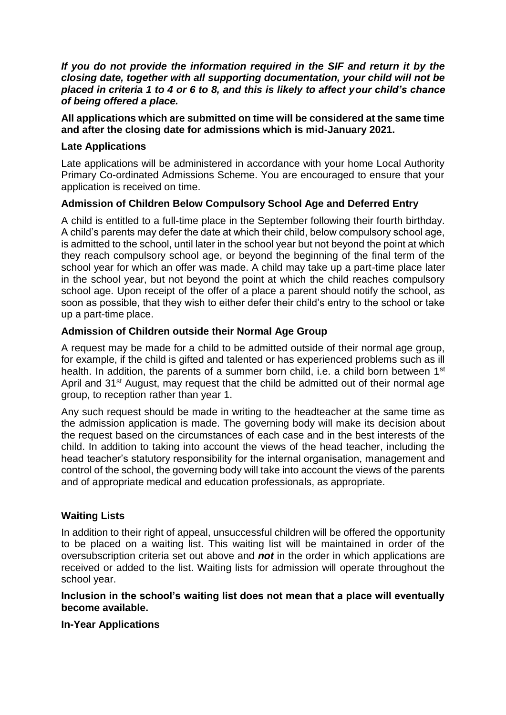### *If you do not provide the information required in the SIF and return it by the closing date, together with all supporting documentation, your child will not be placed in criteria 1 to 4 or 6 to 8, and this is likely to affect your child's chance of being offered a place.*

### **All applications which are submitted on time will be considered at the same time and after the closing date for admissions which is mid-January 2021.**

### **Late Applications**

Late applications will be administered in accordance with your home Local Authority Primary Co-ordinated Admissions Scheme. You are encouraged to ensure that your application is received on time.

# **Admission of Children Below Compulsory School Age and Deferred Entry**

A child is entitled to a full-time place in the September following their fourth birthday. A child's parents may defer the date at which their child, below compulsory school age, is admitted to the school, until later in the school year but not beyond the point at which they reach compulsory school age, or beyond the beginning of the final term of the school year for which an offer was made. A child may take up a part-time place later in the school year, but not beyond the point at which the child reaches compulsory school age. Upon receipt of the offer of a place a parent should notify the school, as soon as possible, that they wish to either defer their child's entry to the school or take up a part-time place.

# **Admission of Children outside their Normal Age Group**

A request may be made for a child to be admitted outside of their normal age group, for example, if the child is gifted and talented or has experienced problems such as ill health. In addition, the parents of a summer born child, i.e. a child born between 1<sup>st</sup> April and 31<sup>st</sup> August, may request that the child be admitted out of their normal age group, to reception rather than year 1.

Any such request should be made in writing to the headteacher at the same time as the admission application is made. The governing body will make its decision about the request based on the circumstances of each case and in the best interests of the child. In addition to taking into account the views of the head teacher, including the head teacher's statutory responsibility for the internal organisation, management and control of the school, the governing body will take into account the views of the parents and of appropriate medical and education professionals, as appropriate.

# **Waiting Lists**

In addition to their right of appeal, unsuccessful children will be offered the opportunity to be placed on a waiting list. This waiting list will be maintained in order of the oversubscription criteria set out above and *not* in the order in which applications are received or added to the list. Waiting lists for admission will operate throughout the school year.

### **Inclusion in the school's waiting list does not mean that a place will eventually become available.**

### **In-Year Applications**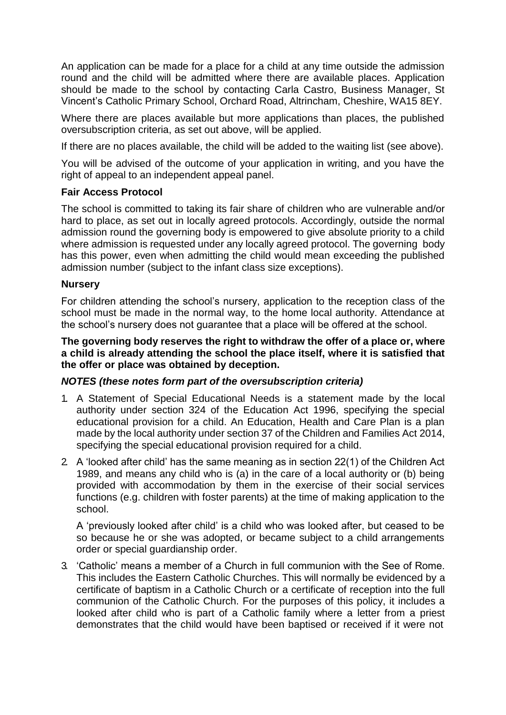An application can be made for a place for a child at any time outside the admission round and the child will be admitted where there are available places. Application should be made to the school by contacting Carla Castro, Business Manager, St Vincent's Catholic Primary School, Orchard Road, Altrincham, Cheshire, WA15 8EY.

Where there are places available but more applications than places, the published oversubscription criteria, as set out above, will be applied.

If there are no places available, the child will be added to the waiting list (see above).

You will be advised of the outcome of your application in writing, and you have the right of appeal to an independent appeal panel.

### **Fair Access Protocol**

The school is committed to taking its fair share of children who are vulnerable and/or hard to place, as set out in locally agreed protocols. Accordingly, outside the normal admission round the governing body is empowered to give absolute priority to a child where admission is requested under any locally agreed protocol. The governing body has this power, even when admitting the child would mean exceeding the published admission number (subject to the infant class size exceptions).

### **Nursery**

For children attending the school's nursery, application to the reception class of the school must be made in the normal way, to the home local authority. Attendance at the school's nursery does not guarantee that a place will be offered at the school.

#### **The governing body reserves the right to withdraw the offer of a place or, where a child is already attending the school the place itself, where it is satisfied that the offer or place was obtained by deception.**

# *NOTES (these notes form part of the oversubscription criteria)*

- 1. A Statement of Special Educational Needs is a statement made by the local authority under section 324 of the Education Act 1996, specifying the special educational provision for a child. An Education, Health and Care Plan is a plan made by the local authority under section 37 of the Children and Families Act 2014, specifying the special educational provision required for a child.
- 2. A 'looked after child' has the same meaning as in section 22(1) of the Children Act 1989, and means any child who is (a) in the care of a local authority or (b) being provided with accommodation by them in the exercise of their social services functions (e.g. children with foster parents) at the time of making application to the school.

A 'previously looked after child' is a child who was looked after, but ceased to be so because he or she was adopted, or became subject to a child arrangements order or special guardianship order.

3. 'Catholic' means a member of a Church in full communion with the See of Rome. This includes the Eastern Catholic Churches. This will normally be evidenced by a certificate of baptism in a Catholic Church or a certificate of reception into the full communion of the Catholic Church. For the purposes of this policy, it includes a looked after child who is part of a Catholic family where a letter from a priest demonstrates that the child would have been baptised or received if it were not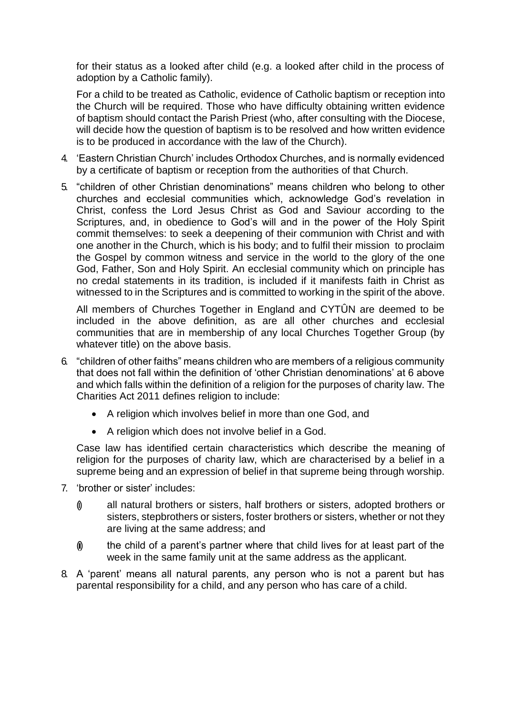for their status as a looked after child (e.g. a looked after child in the process of adoption by a Catholic family).

For a child to be treated as Catholic, evidence of Catholic baptism or reception into the Church will be required. Those who have difficulty obtaining written evidence of baptism should contact the Parish Priest (who, after consulting with the Diocese, will decide how the question of baptism is to be resolved and how written evidence is to be produced in accordance with the law of the Church).

- 4. 'Eastern Christian Church' includes Orthodox Churches, and is normally evidenced by a certificate of baptism or reception from the authorities of that Church.
- 5. "children of other Christian denominations" means children who belong to other churches and ecclesial communities which, acknowledge God's revelation in Christ, confess the Lord Jesus Christ as God and Saviour according to the Scriptures, and, in obedience to God's will and in the power of the Holy Spirit commit themselves: to seek a deepening of their communion with Christ and with one another in the Church, which is his body; and to fulfil their mission to proclaim the Gospel by common witness and service in the world to the glory of the one God, Father, Son and Holy Spirit. An ecclesial community which on principle has no credal statements in its tradition, is included if it manifests faith in Christ as witnessed to in the Scriptures and is committed to working in the spirit of the above.

All members of Churches Together in England and CYTÛN are deemed to be included in the above definition, as are all other churches and ecclesial communities that are in membership of any local Churches Together Group (by whatever title) on the above basis.

- 6. "children of other faiths" means children who are members of a religious community that does not fall within the definition of 'other Christian denominations' at 6 above and which falls within the definition of a religion for the purposes of charity law. The Charities Act 2011 defines religion to include:
	- A religion which involves belief in more than one God, and
	- A religion which does not involve belief in a God.

Case law has identified certain characteristics which describe the meaning of religion for the purposes of charity law, which are characterised by a belief in a supreme being and an expression of belief in that supreme being through worship.

- 7. 'brother or sister' includes:
	- (i) all natural brothers or sisters, half brothers or sisters, adopted brothers or sisters, stepbrothers or sisters, foster brothers or sisters, whether or not they are living at the same address; and
	- $\hat{p}$  the child of a parent's partner where that child lives for at least part of the week in the same family unit at the same address as the applicant.
- 8. A 'parent' means all natural parents, any person who is not a parent but has parental responsibility for a child, and any person who has care of a child.